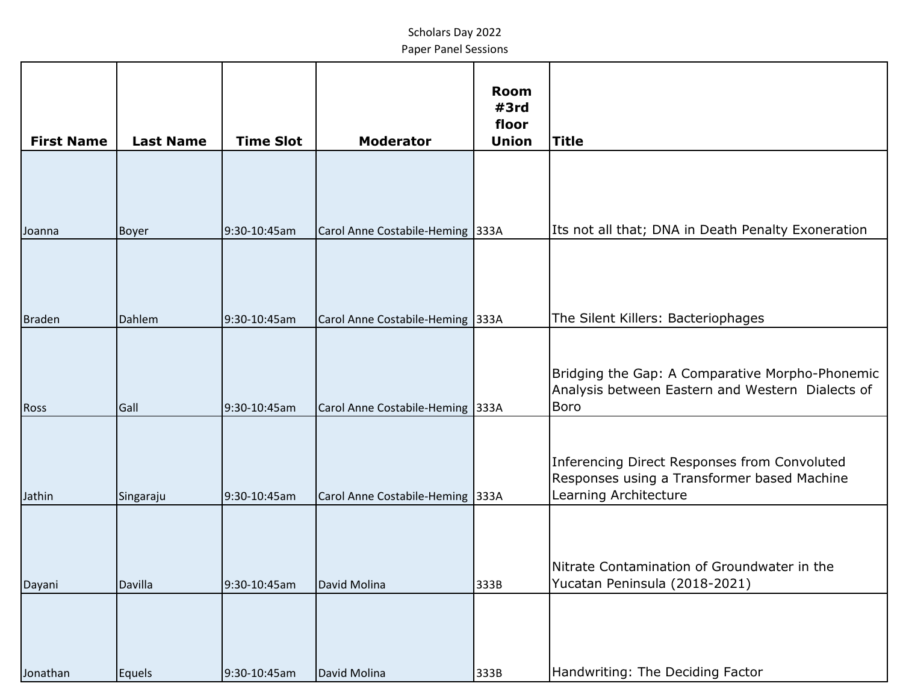| <b>First Name</b> | <b>Last Name</b> | <b>Time Slot</b> | <b>Moderator</b>                 | <b>Room</b><br>#3rd<br>floor<br><b>Union</b> | <b>Title</b>                                                                                                         |
|-------------------|------------------|------------------|----------------------------------|----------------------------------------------|----------------------------------------------------------------------------------------------------------------------|
|                   |                  |                  |                                  |                                              |                                                                                                                      |
| Joanna            | <b>Boyer</b>     | 9:30-10:45am     | Carol Anne Costabile-Heming 333A |                                              | Its not all that; DNA in Death Penalty Exoneration                                                                   |
|                   |                  |                  |                                  |                                              |                                                                                                                      |
| Braden            | Dahlem           | 9:30-10:45am     | Carol Anne Costabile-Heming 333A |                                              | The Silent Killers: Bacteriophages                                                                                   |
| <b>Ross</b>       | Gall             | 9:30-10:45am     | Carol Anne Costabile-Heming 333A |                                              | Bridging the Gap: A Comparative Morpho-Phonemic<br>Analysis between Eastern and Western Dialects of<br>Boro          |
| Jathin            | Singaraju        | 9:30-10:45am     | Carol Anne Costabile-Heming 333A |                                              | Inferencing Direct Responses from Convoluted<br>Responses using a Transformer based Machine<br>Learning Architecture |
| Dayani            | Davilla          | 9:30-10:45am     | David Molina                     | 333B                                         | Nitrate Contamination of Groundwater in the<br>Yucatan Peninsula (2018-2021)                                         |
|                   |                  |                  |                                  |                                              |                                                                                                                      |
| Jonathan          | <b>Equels</b>    | 9:30-10:45am     | David Molina                     | 333B                                         | Handwriting: The Deciding Factor                                                                                     |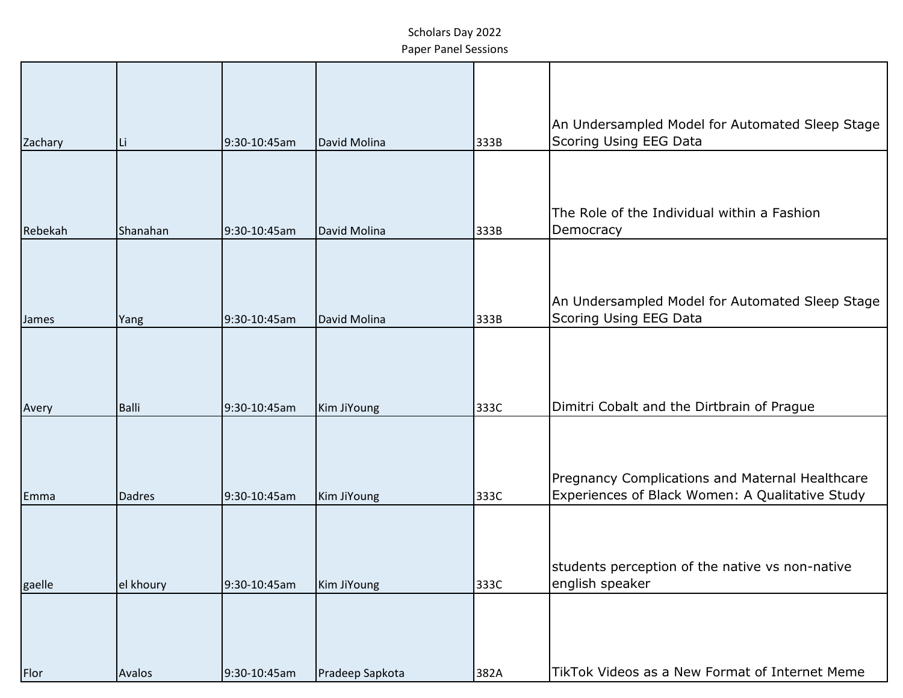| Zachary | ILi.          | 9:30-10:45am | David Molina    | 333B | An Undersampled Model for Automated Sleep Stage<br>Scoring Using EEG Data                          |
|---------|---------------|--------------|-----------------|------|----------------------------------------------------------------------------------------------------|
|         |               |              |                 |      |                                                                                                    |
| Rebekah | Shanahan      | 9:30-10:45am | David Molina    | 333B | The Role of the Individual within a Fashion<br>Democracy                                           |
| James   | Yang          | 9:30-10:45am | David Molina    | 333B | An Undersampled Model for Automated Sleep Stage<br>Scoring Using EEG Data                          |
| Avery   | <b>Balli</b>  | 9:30-10:45am | Kim JiYoung     | 333C | Dimitri Cobalt and the Dirtbrain of Prague                                                         |
| Emma    | <b>Dadres</b> | 9:30-10:45am | Kim JiYoung     | 333C | Pregnancy Complications and Maternal Healthcare<br>Experiences of Black Women: A Qualitative Study |
| gaelle  | el khoury     | 9:30-10:45am | Kim JiYoung     | 333C | students perception of the native vs non-native<br>english speaker                                 |
| Flor    | Avalos        | 9:30-10:45am | Pradeep Sapkota | 382A | TikTok Videos as a New Format of Internet Meme                                                     |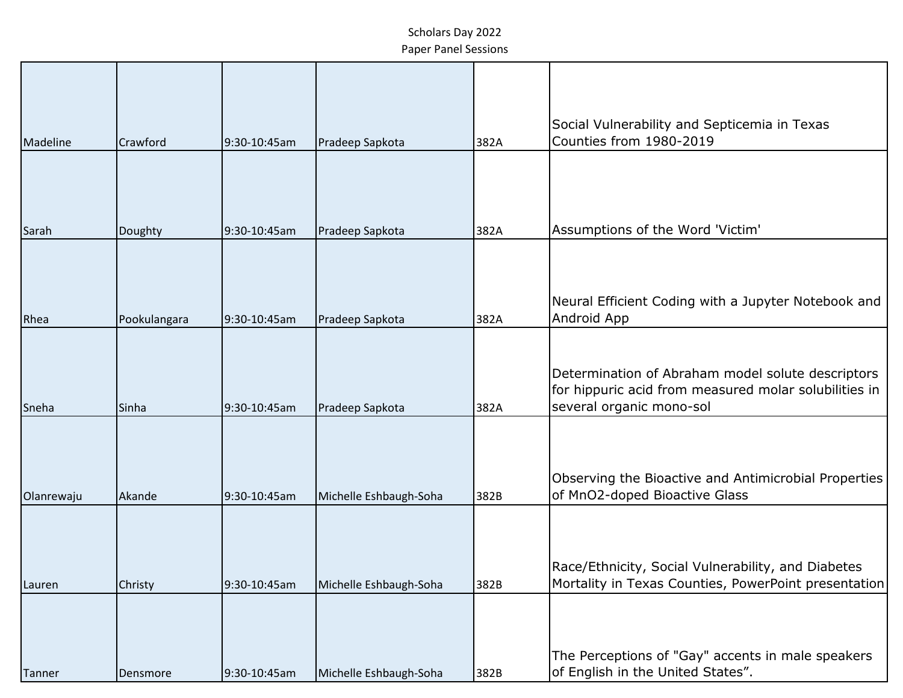| Madeline   | Crawford     | 9:30-10:45am | Pradeep Sapkota        | 382A | Social Vulnerability and Septicemia in Texas<br>Counties from 1980-2019                                                                |
|------------|--------------|--------------|------------------------|------|----------------------------------------------------------------------------------------------------------------------------------------|
|            |              |              |                        |      |                                                                                                                                        |
| Sarah      | Doughty      | 9:30-10:45am | Pradeep Sapkota        | 382A | Assumptions of the Word 'Victim'                                                                                                       |
| Rhea       | Pookulangara | 9:30-10:45am | Pradeep Sapkota        | 382A | Neural Efficient Coding with a Jupyter Notebook and<br>Android App                                                                     |
| Sneha      | Sinha        | 9:30-10:45am | Pradeep Sapkota        | 382A | Determination of Abraham model solute descriptors<br>for hippuric acid from measured molar solubilities in<br>several organic mono-sol |
| Olanrewaju | Akande       | 9:30-10:45am | Michelle Eshbaugh-Soha | 382B | Observing the Bioactive and Antimicrobial Properties<br>of MnO2-doped Bioactive Glass                                                  |
| Lauren     | Christy      | 9:30-10:45am | Michelle Eshbaugh-Soha | 382B | Race/Ethnicity, Social Vulnerability, and Diabetes<br>Mortality in Texas Counties, PowerPoint presentation                             |
| Tanner     | Densmore     | 9:30-10:45am | Michelle Eshbaugh-Soha | 382B | The Perceptions of "Gay" accents in male speakers<br>of English in the United States".                                                 |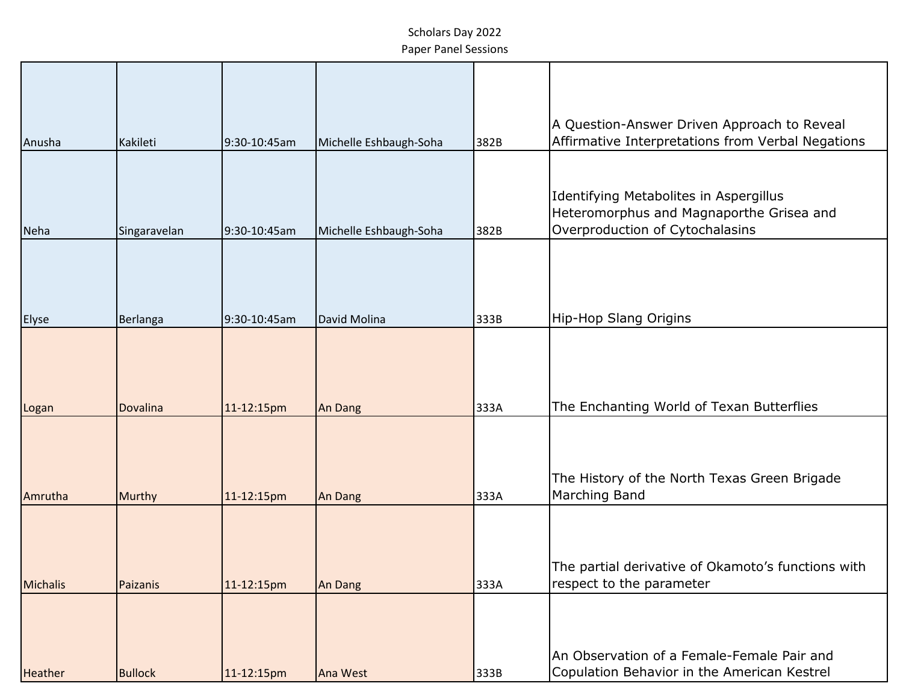| Anusha          | Kakileti        | 9:30-10:45am | Michelle Eshbaugh-Soha | 382B | A Question-Answer Driven Approach to Reveal<br>Affirmative Interpretations from Verbal Negations                      |
|-----------------|-----------------|--------------|------------------------|------|-----------------------------------------------------------------------------------------------------------------------|
|                 |                 |              |                        |      |                                                                                                                       |
| Neha            | Singaravelan    | 9:30-10:45am | Michelle Eshbaugh-Soha | 382B | Identifying Metabolites in Aspergillus<br>Heteromorphus and Magnaporthe Grisea and<br>Overproduction of Cytochalasins |
| <b>Elyse</b>    | Berlanga        | 9:30-10:45am | David Molina           | 333B | Hip-Hop Slang Origins                                                                                                 |
| Logan           | <b>Dovalina</b> | 11-12:15pm   | An Dang                | 333A | The Enchanting World of Texan Butterflies                                                                             |
| Amrutha         | Murthy          | 11-12:15pm   | An Dang                | 333A | The History of the North Texas Green Brigade<br>Marching Band                                                         |
| <b>Michalis</b> | Paizanis        | 11-12:15pm   | An Dang                | 333A | The partial derivative of Okamoto's functions with<br>respect to the parameter                                        |
| <b>Heather</b>  | <b>Bullock</b>  | 11-12:15pm   | Ana West               | 333B | An Observation of a Female-Female Pair and<br>Copulation Behavior in the American Kestrel                             |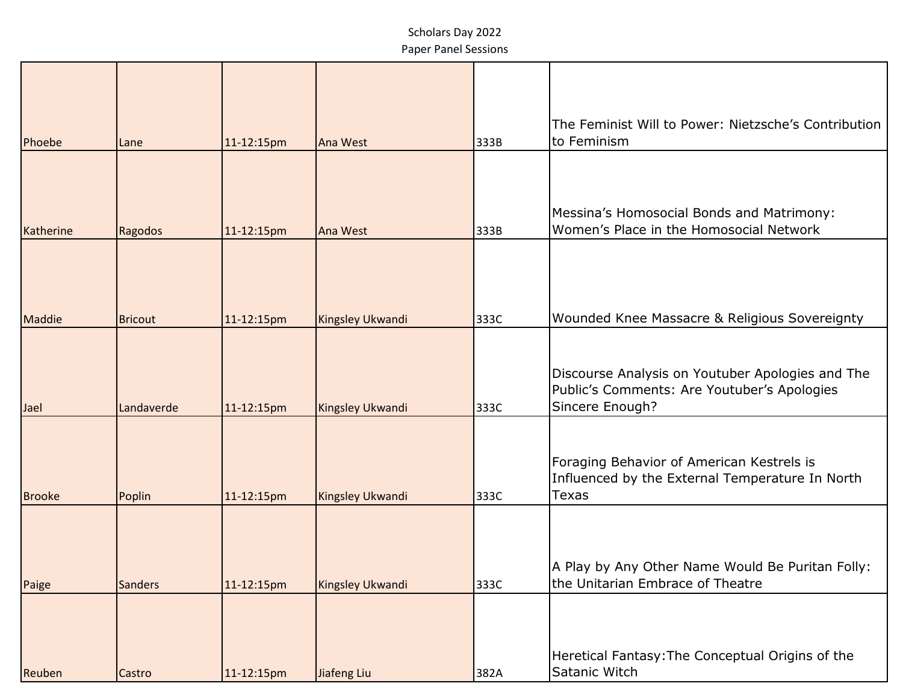| Phoebe        | Lane           | 11-12:15pm | Ana West                | 333B | The Feminist Will to Power: Nietzsche's Contribution<br>to Feminism                                                |
|---------------|----------------|------------|-------------------------|------|--------------------------------------------------------------------------------------------------------------------|
|               |                |            |                         |      |                                                                                                                    |
| Katherine     | Ragodos        | 11-12:15pm | Ana West                | 333B | Messina's Homosocial Bonds and Matrimony:<br>Women's Place in the Homosocial Network                               |
| Maddie        | <b>Bricout</b> | 11-12:15pm | Kingsley Ukwandi        | 333C | Wounded Knee Massacre & Religious Sovereignty                                                                      |
| Jael          | Landaverde     | 11-12:15pm | Kingsley Ukwandi        | 333C | Discourse Analysis on Youtuber Apologies and The<br>Public's Comments: Are Youtuber's Apologies<br>Sincere Enough? |
| <b>Brooke</b> | Poplin         | 11-12:15pm | <b>Kingsley Ukwandi</b> | 333C | Foraging Behavior of American Kestrels is<br>Influenced by the External Temperature In North<br><b>Texas</b>       |
|               |                |            |                         |      |                                                                                                                    |
| Paige         | <b>Sanders</b> | 11-12:15pm | Kingsley Ukwandi        | 333C | A Play by Any Other Name Would Be Puritan Folly:<br>the Unitarian Embrace of Theatre                               |
| Reuben        | Castro         | 11-12:15pm | Jiafeng Liu             | 382A | Heretical Fantasy: The Conceptual Origins of the<br>Satanic Witch                                                  |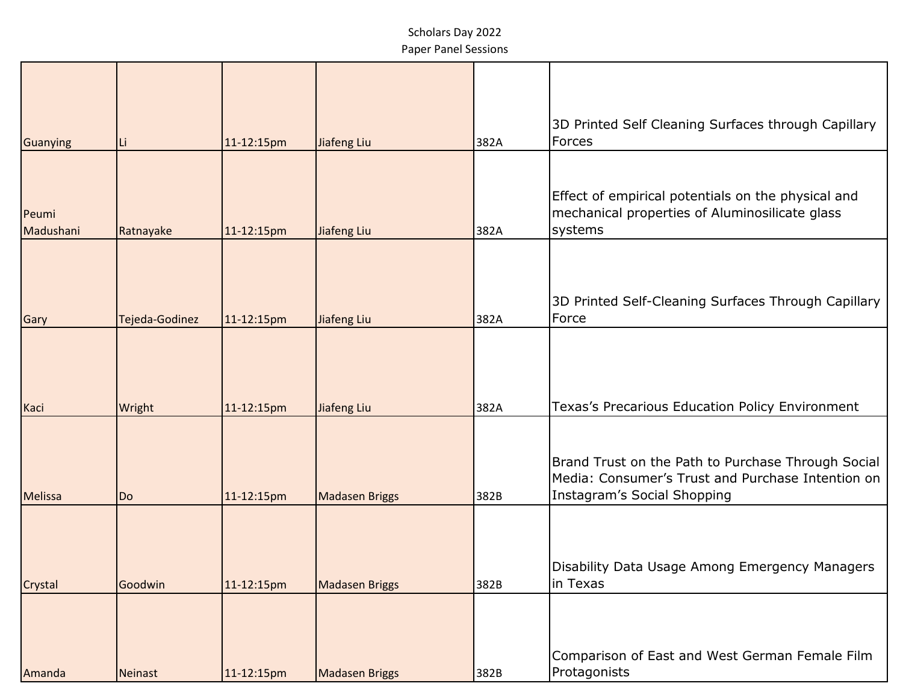| Guanying           | ILi.           | 11-12:15pm | Jiafeng Liu           | 382A | 3D Printed Self Cleaning Surfaces through Capillary<br>Forces                                                                          |
|--------------------|----------------|------------|-----------------------|------|----------------------------------------------------------------------------------------------------------------------------------------|
| Peumi<br>Madushani | Ratnayake      | 11-12:15pm | Jiafeng Liu           | 382A | Effect of empirical potentials on the physical and<br>mechanical properties of Aluminosilicate glass<br>systems                        |
| Gary               | Tejeda-Godinez | 11-12:15pm | Jiafeng Liu           | 382A | 3D Printed Self-Cleaning Surfaces Through Capillary<br>Force                                                                           |
| Kaci               | Wright         | 11-12:15pm | Jiafeng Liu           | 382A | Texas's Precarious Education Policy Environment                                                                                        |
| Melissa            | Do             | 11-12:15pm | <b>Madasen Briggs</b> | 382B | Brand Trust on the Path to Purchase Through Social<br>Media: Consumer's Trust and Purchase Intention on<br>Instagram's Social Shopping |
| Crystal            | Goodwin        | 11-12:15pm | <b>Madasen Briggs</b> | 382B | Disability Data Usage Among Emergency Managers<br>in Texas                                                                             |
| Amanda             | Neinast        | 11-12:15pm | <b>Madasen Briggs</b> | 382B | Comparison of East and West German Female Film<br>Protagonists                                                                         |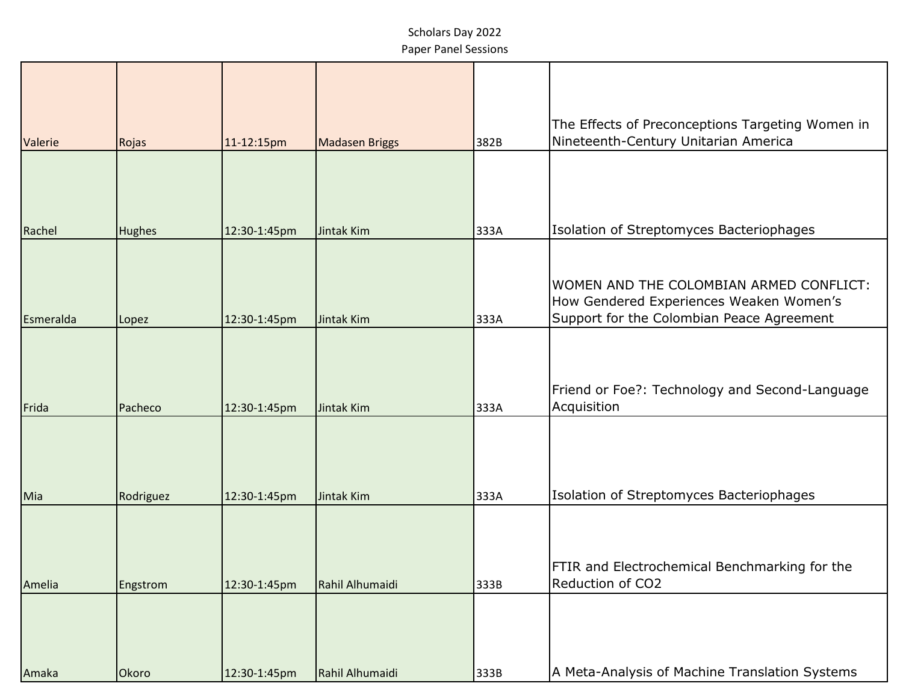| Valerie   | Rojas         | 11-12:15pm   | <b>Madasen Briggs</b> | 382B | The Effects of Preconceptions Targeting Women in<br>Nineteenth-Century Unitarian America                                        |
|-----------|---------------|--------------|-----------------------|------|---------------------------------------------------------------------------------------------------------------------------------|
|           |               |              |                       |      |                                                                                                                                 |
|           |               |              |                       |      |                                                                                                                                 |
| Rachel    | <b>Hughes</b> | 12:30-1:45pm | Jintak Kim            | 333A | Isolation of Streptomyces Bacteriophages                                                                                        |
| Esmeralda | Lopez         | 12:30-1:45pm | Jintak Kim            | 333A | WOMEN AND THE COLOMBIAN ARMED CONFLICT:<br>How Gendered Experiences Weaken Women's<br>Support for the Colombian Peace Agreement |
| Frida     | Pacheco       | 12:30-1:45pm | Jintak Kim            | 333A | Friend or Foe?: Technology and Second-Language<br>Acquisition                                                                   |
| Mia       | Rodriguez     | 12:30-1:45pm | Jintak Kim            | 333A | Isolation of Streptomyces Bacteriophages                                                                                        |
| Amelia    | Engstrom      | 12:30-1:45pm | Rahil Alhumaidi       | 333B | FTIR and Electrochemical Benchmarking for the<br>Reduction of CO2                                                               |
| Amaka     | Okoro         | 12:30-1:45pm | Rahil Alhumaidi       | 333B | A Meta-Analysis of Machine Translation Systems                                                                                  |